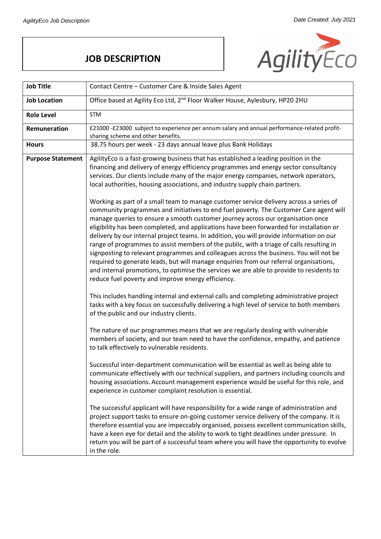## **JOB DESCRIPTION**



| <b>Job Title</b>         | Contact Centre - Customer Care & Inside Sales Agent                                                                                                                                                                                                                                                                                                                                                                                                                                                                                                                                                                                                                                                                                                                                                                                                                                           |
|--------------------------|-----------------------------------------------------------------------------------------------------------------------------------------------------------------------------------------------------------------------------------------------------------------------------------------------------------------------------------------------------------------------------------------------------------------------------------------------------------------------------------------------------------------------------------------------------------------------------------------------------------------------------------------------------------------------------------------------------------------------------------------------------------------------------------------------------------------------------------------------------------------------------------------------|
| <b>Job Location</b>      | Office based at Agility Eco Ltd, 2 <sup>nd</sup> Floor Walker House, Aylesbury, HP20 2HU                                                                                                                                                                                                                                                                                                                                                                                                                                                                                                                                                                                                                                                                                                                                                                                                      |
| <b>Role Level</b>        | <b>STM</b>                                                                                                                                                                                                                                                                                                                                                                                                                                                                                                                                                                                                                                                                                                                                                                                                                                                                                    |
| Remuneration             | £21000 -£23000 subject to experience per annum salary and annual performance-related profit-<br>sharing scheme and other benefits.                                                                                                                                                                                                                                                                                                                                                                                                                                                                                                                                                                                                                                                                                                                                                            |
| <b>Hours</b>             | 38.75 hours per week - 23 days annual leave plus Bank Holidays                                                                                                                                                                                                                                                                                                                                                                                                                                                                                                                                                                                                                                                                                                                                                                                                                                |
| <b>Purpose Statement</b> | AgilityEco is a fast-growing business that has established a leading position in the<br>financing and delivery of energy efficiency programmes and energy sector consultancy<br>services. Our clients include many of the major energy companies, network operators,<br>local authorities, housing associations, and industry supply chain partners.                                                                                                                                                                                                                                                                                                                                                                                                                                                                                                                                          |
|                          | Working as part of a small team to manage customer service delivery across a series of<br>community programmes and initiatives to end fuel poverty. The Customer Care agent will<br>manage queries to ensure a smooth customer journey across our organisation once<br>eligibility has been completed, and applications have been forwarded for installation or<br>delivery by our internal project teams. In addition, you will provide information on our<br>range of programmes to assist members of the public, with a triage of calls resulting in<br>signposting to relevant programmes and colleagues across the business. You will not be<br>required to generate leads, but will manage enquiries from our referral organisations,<br>and internal promotions, to optimise the services we are able to provide to residents to<br>reduce fuel poverty and improve energy efficiency. |
|                          | This includes handling internal and external calls and completing administrative project<br>tasks with a key focus on successfully delivering a high level of service to both members<br>of the public and our industry clients.                                                                                                                                                                                                                                                                                                                                                                                                                                                                                                                                                                                                                                                              |
|                          | The nature of our programmes means that we are regularly dealing with vulnerable<br>members of society, and our team need to have the confidence, empathy, and patience<br>to talk effectively to vulnerable residents.                                                                                                                                                                                                                                                                                                                                                                                                                                                                                                                                                                                                                                                                       |
|                          | Successful inter-department communication will be essential as well as being able to<br>communicate effectively with our technical suppliers, and partners including councils and<br>housing associations. Account management experience would be useful for this role, and<br>experience in customer complaint resolution is essential.                                                                                                                                                                                                                                                                                                                                                                                                                                                                                                                                                      |
|                          | The successful applicant will have responsibility for a wide range of administration and<br>project support tasks to ensure on-going customer service delivery of the company. It is<br>therefore essential you are impeccably organised, possess excellent communication skills,<br>have a keen eye for detail and the ability to work to tight deadlines under pressure. In<br>return you will be part of a successful team where you will have the opportunity to evolve<br>in the role.                                                                                                                                                                                                                                                                                                                                                                                                   |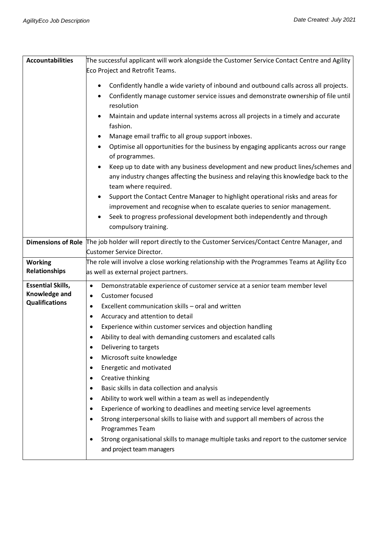| <b>Accountabilities</b>  | The successful applicant will work alongside the Customer Service Contact Centre and Agility                |
|--------------------------|-------------------------------------------------------------------------------------------------------------|
|                          | Eco Project and Retrofit Teams.                                                                             |
|                          |                                                                                                             |
|                          | Confidently handle a wide variety of inbound and outbound calls across all projects.                        |
|                          | Confidently manage customer service issues and demonstrate ownership of file until<br>$\bullet$             |
|                          | resolution                                                                                                  |
|                          | Maintain and update internal systems across all projects in a timely and accurate                           |
|                          | fashion.                                                                                                    |
|                          | Manage email traffic to all group support inboxes.                                                          |
|                          | Optimise all opportunities for the business by engaging applicants across our range                         |
|                          | of programmes.                                                                                              |
|                          | Keep up to date with any business development and new product lines/schemes and                             |
|                          | any industry changes affecting the business and relaying this knowledge back to the                         |
|                          | team where required.                                                                                        |
|                          | Support the Contact Centre Manager to highlight operational risks and areas for                             |
|                          | improvement and recognise when to escalate queries to senior management.                                    |
|                          | Seek to progress professional development both independently and through                                    |
|                          | compulsory training.                                                                                        |
|                          | Dimensions of Role The job holder will report directly to the Customer Services/Contact Centre Manager, and |
|                          | <b>Customer Service Director.</b>                                                                           |
| <b>Working</b>           | The role will involve a close working relationship with the Programmes Teams at Agility Eco                 |
| <b>Relationships</b>     | as well as external project partners.                                                                       |
| <b>Essential Skills,</b> | Demonstratable experience of customer service at a senior team member level<br>$\bullet$                    |
| Knowledge and            | Customer focused<br>$\bullet$                                                                               |
| <b>Qualifications</b>    | Excellent communication skills - oral and written<br>$\bullet$                                              |
|                          | Accuracy and attention to detail<br>٠                                                                       |
|                          | Experience within customer services and objection handling<br>٠                                             |
|                          | Ability to deal with demanding customers and escalated calls<br>$\bullet$                                   |
|                          | Delivering to targets<br>٠                                                                                  |
|                          | Microsoft suite knowledge<br>٠                                                                              |
|                          | Energetic and motivated<br>٠                                                                                |
|                          | Creative thinking<br>٠                                                                                      |
|                          | Basic skills in data collection and analysis<br>٠                                                           |
|                          | Ability to work well within a team as well as independently<br>٠                                            |
|                          | Experience of working to deadlines and meeting service level agreements<br>٠                                |
|                          | Strong interpersonal skills to liaise with and support all members of across the<br>٠                       |
|                          | Programmes Team                                                                                             |
|                          | Strong organisational skills to manage multiple tasks and report to the customer service<br>٠               |
|                          | and project team managers                                                                                   |
|                          |                                                                                                             |